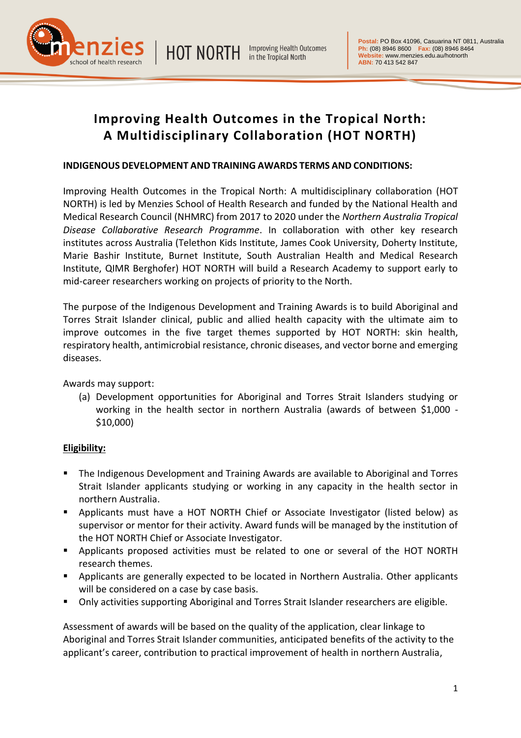**HOT NORTH Improving Health Outcomes** in the Tropical North





# **Improving Health Outcomes in the Tropical North: A Multidisciplinary Collaboration (HOT NORTH)**

# **INDIGENOUS DEVELOPMENT AND TRAINING AWARDS TERMS AND CONDITIONS:**

Improving Health Outcomes in the Tropical North: A multidisciplinary collaboration (HOT NORTH) is led by Menzies School of Health Research and funded by the National Health and Medical Research Council (NHMRC) from 2017 to 2020 under the *Northern Australia Tropical Disease Collaborative Research Programme*. In collaboration with other key research institutes across Australia (Telethon Kids Institute, James Cook University, Doherty Institute, Marie Bashir Institute, Burnet Institute, South Australian Health and Medical Research Institute, QIMR Berghofer) HOT NORTH will build a Research Academy to support early to mid-career researchers working on projects of priority to the North.

The purpose of the Indigenous Development and Training Awards is to build Aboriginal and Torres Strait Islander clinical, public and allied health capacity with the ultimate aim to improve outcomes in the five target themes supported by HOT NORTH: skin health, respiratory health, antimicrobial resistance, chronic diseases, and vector borne and emerging diseases.

Awards may support:

(a) Development opportunities for Aboriginal and Torres Strait Islanders studying or working in the health sector in northern Australia (awards of between \$1,000 - \$10,000)

# **Eligibility:**

- The Indigenous Development and Training Awards are available to Aboriginal and Torres Strait Islander applicants studying or working in any capacity in the health sector in northern Australia.
- Applicants must have a HOT NORTH Chief or Associate Investigator (listed below) as supervisor or mentor for their activity. Award funds will be managed by the institution of the HOT NORTH Chief or Associate Investigator.
- Applicants proposed activities must be related to one or several of the HOT NORTH research themes.
- **•** Applicants are generally expected to be located in Northern Australia. Other applicants will be considered on a case by case basis.
- Only activities supporting Aboriginal and Torres Strait Islander researchers are eligible.

Assessment of awards will be based on the quality of the application, clear linkage to Aboriginal and Torres Strait Islander communities, anticipated benefits of the activity to the applicant's career, contribution to practical improvement of health in northern Australia,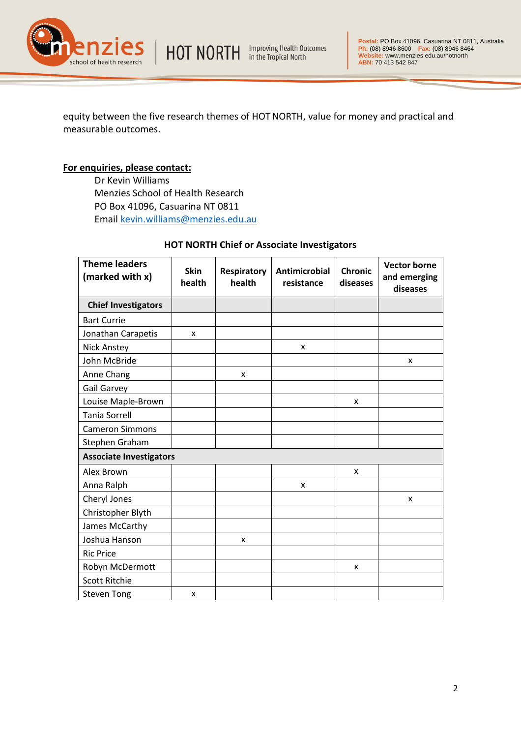HOT NORTH Improving Health Outcomes



equity between the five research themes of HOTNORTH, value for money and practical and measurable outcomes.

#### **For enquiries, please contact:**

Dr Kevin Williams Menzies School of Health Research PO Box 41096, Casuarina NT 0811 Email [kevin.williams@menzies.edu.au](mailto:kevin.williams@menzies.edu.au)

### **HOT NORTH Chief or Associate Investigators**

| <b>Theme leaders</b><br>(marked with x) | <b>Skin</b><br>health | <b>Respiratory</b><br>health | <b>Antimicrobial</b><br>resistance | <b>Chronic</b><br>diseases | <b>Vector borne</b><br>and emerging<br>diseases |
|-----------------------------------------|-----------------------|------------------------------|------------------------------------|----------------------------|-------------------------------------------------|
| <b>Chief Investigators</b>              |                       |                              |                                    |                            |                                                 |
| <b>Bart Currie</b>                      |                       |                              |                                    |                            |                                                 |
| Jonathan Carapetis                      | X                     |                              |                                    |                            |                                                 |
| <b>Nick Anstey</b>                      |                       |                              | X                                  |                            |                                                 |
| John McBride                            |                       |                              |                                    |                            | X                                               |
| Anne Chang                              |                       | X                            |                                    |                            |                                                 |
| <b>Gail Garvey</b>                      |                       |                              |                                    |                            |                                                 |
| Louise Maple-Brown                      |                       |                              |                                    | X                          |                                                 |
| <b>Tania Sorrell</b>                    |                       |                              |                                    |                            |                                                 |
| <b>Cameron Simmons</b>                  |                       |                              |                                    |                            |                                                 |
| Stephen Graham                          |                       |                              |                                    |                            |                                                 |
| <b>Associate Investigators</b>          |                       |                              |                                    |                            |                                                 |
| Alex Brown                              |                       |                              |                                    | X                          |                                                 |
| Anna Ralph                              |                       |                              | x                                  |                            |                                                 |
| Cheryl Jones                            |                       |                              |                                    |                            | X                                               |
| Christopher Blyth                       |                       |                              |                                    |                            |                                                 |
| James McCarthy                          |                       |                              |                                    |                            |                                                 |
| Joshua Hanson                           |                       | X                            |                                    |                            |                                                 |
| <b>Ric Price</b>                        |                       |                              |                                    |                            |                                                 |
| Robyn McDermott                         |                       |                              |                                    | x                          |                                                 |
| <b>Scott Ritchie</b>                    |                       |                              |                                    |                            |                                                 |
| <b>Steven Tong</b>                      | X                     |                              |                                    |                            |                                                 |